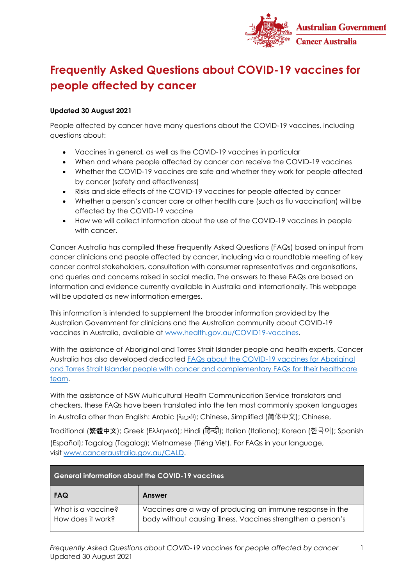

## **Frequently Asked Questions about COVID-19 vaccines for people affected by cancer**

## **Updated 30 August 2021**

People affected by cancer have many questions about the COVID-19 vaccines, including questions about:

- Vaccines in general, as well as the COVID-19 vaccines in particular
- When and where people affected by cancer can receive the COVID-19 vaccines
- Whether the COVID-19 vaccines are safe and whether they work for people affected by cancer (safety and effectiveness)
- Risks and side effects of the COVID-19 vaccines for people affected by cancer
- Whether a person's cancer care or other health care (such as flu vaccination) will be affected by the COVID-19 vaccine
- How we will collect information about the use of the COVID-19 vaccines in people with cancer.

Cancer Australia has compiled these Frequently Asked Questions (FAQs) based on input from cancer clinicians and people affected by cancer, including via a roundtable meeting of key cancer control stakeholders, consultation with consumer representatives and organisations, and queries and concerns raised in social media. The answers to these FAQs are based on information and evidence currently available in Australia and internationally. This webpage will be updated as new information emerges.

This information is intended to supplement the broader information provided by the Australian Government for clinicians and the Australian community about COVID-19 vaccines in Australia, available at [www.health.gov.au/COVID19-vaccines.](http://www.health.gov.au/COVID19-vaccines)

With the assistance of Aboriginal and Torres Strait Islander people and health experts, Cancer Australia has also developed dedicated [FAQs about the COVID-19 vaccines for Aboriginal](https://www.canceraustralia.gov.au/COVID-19_vaccines_Information_for_Aboriginal_and_Torres_Strait_Islander_people_affected_by_cancer)  [and Torres Strait Islander people with cancer](https://www.canceraustralia.gov.au/COVID-19_vaccines_Information_for_Aboriginal_and_Torres_Strait_Islander_people_affected_by_cancer) and complementary FAQs for their healthcare [team.](https://www.canceraustralia.gov.au/COVID-19_vaccines_Information_for_Aboriginal_and_Torres_Strait_Islander_people_affected_by_cancer)

With the assistance of NSW Multicultural Health Communication Service translators and checkers, these FAQs have been translated into the ten most commonly spoken languages in Australia other than English: Arabic (العربية ;(Chinese, Simplified (简体中文); Chinese,

Traditional (繁體中文); Greek (Ελληνικά); Hindi (हिन्दी); Italian (Italiano); Korean (한국어); Spanish (Español); Tagalog (Tagalog); Vietnamese (Tiếng Việt). For FAQs in your language, visit [www.canceraustralia.gov.au/CALD.](https://www.canceraustralia.gov.au/culturally-and-linguistically-diverse-cald-services)

| <b>General information about the COVID-19 vaccines</b> |                                                                                                                           |
|--------------------------------------------------------|---------------------------------------------------------------------------------------------------------------------------|
| <b>FAQ</b>                                             | Answer                                                                                                                    |
| What is a vaccine?<br>How does it work?                | Vaccines are a way of producing an immune response in the<br>body without causing illness. Vaccines strengthen a person's |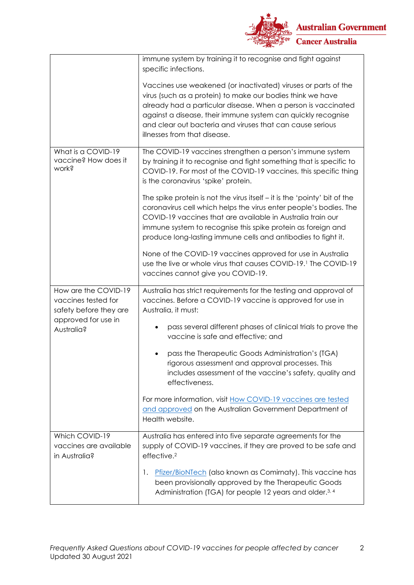

|                                                                       | immune system by training it to recognise and fight against<br>specific infections.                                                                                                                                                                                                                                                                        |
|-----------------------------------------------------------------------|------------------------------------------------------------------------------------------------------------------------------------------------------------------------------------------------------------------------------------------------------------------------------------------------------------------------------------------------------------|
|                                                                       | Vaccines use weakened (or inactivated) viruses or parts of the<br>virus (such as a protein) to make our bodies think we have<br>already had a particular disease. When a person is vaccinated<br>against a disease, their immune system can quickly recognise<br>and clear out bacteria and viruses that can cause serious<br>illnesses from that disease. |
| What is a COVID-19<br>vaccine? How does it<br>work?                   | The COVID-19 vaccines strengthen a person's immune system<br>by training it to recognise and fight something that is specific to<br>COVID-19. For most of the COVID-19 vaccines, this specific thing<br>is the coronavirus 'spike' protein.                                                                                                                |
|                                                                       | The spike protein is not the virus itself $-$ it is the 'pointy' bit of the<br>coronavirus cell which helps the virus enter people's bodies. The<br>COVID-19 vaccines that are available in Australia train our<br>immune system to recognise this spike protein as foreign and<br>produce long-lasting immune cells and antibodies to fight it.           |
|                                                                       | None of the COVID-19 vaccines approved for use in Australia<br>use the live or whole virus that causes COVID-19. <sup>1</sup> The COVID-19<br>vaccines cannot give you COVID-19.                                                                                                                                                                           |
| How are the COVID-19<br>vaccines tested for<br>safety before they are | Australia has strict requirements for the testing and approval of<br>vaccines. Before a COVID-19 vaccine is approved for use in<br>Australia, it must:                                                                                                                                                                                                     |
| approved for use in<br>Australia?                                     | pass several different phases of clinical trials to prove the<br>vaccine is safe and effective; and                                                                                                                                                                                                                                                        |
|                                                                       | pass the Therapeutic Goods Administration's (TGA)<br>rigorous assessment and approval processes. This<br>includes assessment of the vaccine's safety, quality and<br>effectiveness.                                                                                                                                                                        |
|                                                                       | For more information, visit How COVID-19 vaccines are tested<br>and approved on the Australian Government Department of<br>Health website.                                                                                                                                                                                                                 |
| Which COVID-19<br>vaccines are available<br>in Australia?             | Australia has entered into five separate agreements for the<br>supply of COVID-19 vaccines, if they are proved to be safe and<br>effective. <sup>2</sup>                                                                                                                                                                                                   |
|                                                                       | Pfizer/BioNTech (also known as Comirnaty). This vaccine has<br>1.<br>been provisionally approved by the Therapeutic Goods<br>Administration (TGA) for people 12 years and older. <sup>3, 4</sup>                                                                                                                                                           |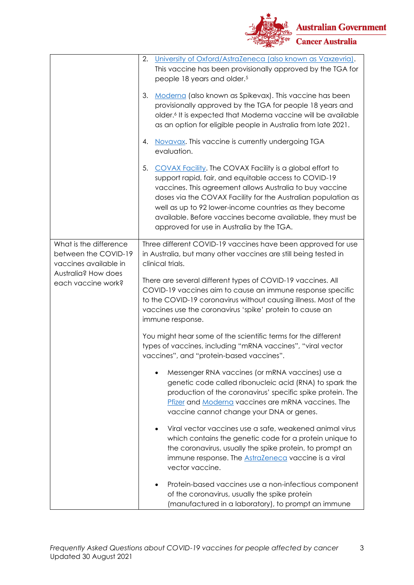

|                                                                                                                      | University of Oxford/AstraZeneca (also known as Vaxzevria).<br>2.<br>This vaccine has been provisionally approved by the TGA for<br>people 18 years and older. <sup>5</sup>                                                                                                                                                                                                                                              |
|----------------------------------------------------------------------------------------------------------------------|--------------------------------------------------------------------------------------------------------------------------------------------------------------------------------------------------------------------------------------------------------------------------------------------------------------------------------------------------------------------------------------------------------------------------|
|                                                                                                                      | Moderna (also known as Spikevax). This vaccine has been<br>3.<br>provisionally approved by the TGA for people 18 years and<br>older. <sup>6</sup> It is expected that Moderna vaccine will be available<br>as an option for eligible people in Australia from late 2021.                                                                                                                                                 |
|                                                                                                                      | Novavax. This vaccine is currently undergoing TGA<br>4.<br>evaluation.                                                                                                                                                                                                                                                                                                                                                   |
|                                                                                                                      | 5.<br>COVAX Facility. The COVAX Facility is a global effort to<br>support rapid, fair, and equitable access to COVID-19<br>vaccines. This agreement allows Australia to buy vaccine<br>doses via the COVAX Facility for the Australian population as<br>well as up to 92 lower-income countries as they become<br>available. Before vaccines become available, they must be<br>approved for use in Australia by the TGA. |
| What is the difference<br>between the COVID-19<br>vaccines available in<br>Australia? How does<br>each vaccine work? | Three different COVID-19 vaccines have been approved for use<br>in Australia, but many other vaccines are still being tested in<br>clinical trials.                                                                                                                                                                                                                                                                      |
|                                                                                                                      | There are several different types of COVID-19 vaccines. All<br>COVID-19 vaccines aim to cause an immune response specific<br>to the COVID-19 coronavirus without causing illness. Most of the<br>vaccines use the coronavirus 'spike' protein to cause an<br>immune response.                                                                                                                                            |
|                                                                                                                      | You might hear some of the scientific terms for the different<br>types of vaccines, including "mRNA vaccines", "viral vector<br>vaccines", and "protein-based vaccines".                                                                                                                                                                                                                                                 |
|                                                                                                                      | Messenger RNA vaccines (or mRNA vaccines) use a<br>genetic code called ribonucleic acid (RNA) to spark the<br>production of the coronavirus' specific spike protein. The<br>Pfizer and Moderna vaccines are mRNA vaccines. The<br>vaccine cannot change your DNA or genes.                                                                                                                                               |
|                                                                                                                      | Viral vector vaccines use a safe, weakened animal virus<br>which contains the genetic code for a protein unique to<br>the coronavirus, usually the spike protein, to prompt an<br>immune response. The <b>AstraZeneca</b> vaccine is a viral<br>vector vaccine.                                                                                                                                                          |
|                                                                                                                      | Protein-based vaccines use a non-infectious component<br>of the coronavirus, usually the spike protein<br>(manufactured in a laboratory), to prompt an immune                                                                                                                                                                                                                                                            |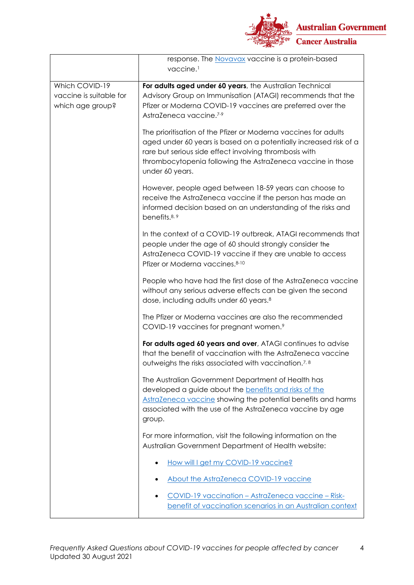

|                                                               | response. The Novavax vaccine is a protein-based<br>vaccine. <sup>1</sup>                                                                                                                                                                                                        |
|---------------------------------------------------------------|----------------------------------------------------------------------------------------------------------------------------------------------------------------------------------------------------------------------------------------------------------------------------------|
| Which COVID-19<br>vaccine is suitable for<br>which age group? | For adults aged under 60 years, the Australian Technical<br>Advisory Group on Immunisation (ATAGI) recommends that the<br>Pfizer or Moderna COVID-19 vaccines are preferred over the<br>AstraZeneca vaccine.7-9                                                                  |
|                                                               | The prioritisation of the Pfizer or Moderna vaccines for adults<br>aged under 60 years is based on a potentially increased risk of a<br>rare but serious side effect involving thrombosis with<br>thrombocytopenia following the AstraZeneca vaccine in those<br>under 60 years. |
|                                                               | However, people aged between 18-59 years can choose to<br>receive the AstraZeneca vaccine if the person has made an<br>informed decision based on an understanding of the risks and<br>benefits. <sup>8, 9</sup>                                                                 |
|                                                               | In the context of a COVID-19 outbreak, ATAGI recommends that<br>people under the age of 60 should strongly consider the<br>AstraZeneca COVID-19 vaccine if they are unable to access<br>Pfizer or Moderna vaccines.8-10                                                          |
|                                                               | People who have had the first dose of the AstraZeneca vaccine<br>without any serious adverse effects can be given the second<br>dose, including adults under 60 years. <sup>8</sup>                                                                                              |
|                                                               | The Pfizer or Moderna vaccines are also the recommended<br>COVID-19 vaccines for pregnant women.9                                                                                                                                                                                |
|                                                               | For adults aged 60 years and over, ATAGI continues to advise<br>that the benefit of vaccination with the AstraZeneca vaccine<br>outweighs the risks associated with vaccination. <sup>7,8</sup>                                                                                  |
|                                                               | The Australian Government Department of Health has<br>developed a guide about the benefits and risks of the<br>AstraZeneca vaccine showing the potential benefits and harms<br>associated with the use of the AstraZeneca vaccine by age<br>group.                               |
|                                                               | For more information, visit the following information on the<br>Australian Government Department of Health website:                                                                                                                                                              |
|                                                               | How will I get my COVID-19 vaccine?                                                                                                                                                                                                                                              |
|                                                               | About the AstraZeneca COVID-19 vaccine                                                                                                                                                                                                                                           |
|                                                               | COVID-19 vaccination - AstraZeneca vaccine - Risk-<br>benefit of vaccination scenarios in an Australian context                                                                                                                                                                  |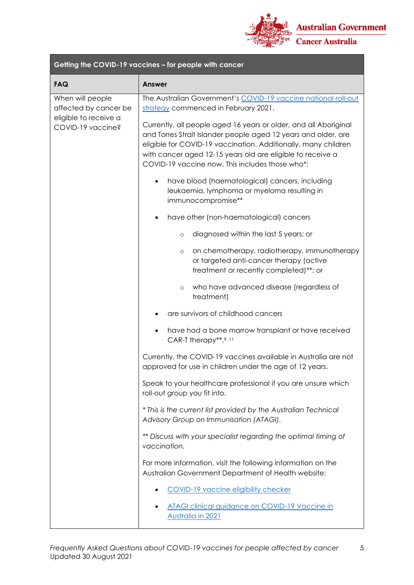

| Getting the COVID-19 vaccines - for people with cancer                                  |                                                                                                                                                                                                                                                                                                                       |  |
|-----------------------------------------------------------------------------------------|-----------------------------------------------------------------------------------------------------------------------------------------------------------------------------------------------------------------------------------------------------------------------------------------------------------------------|--|
| <b>FAQ</b>                                                                              | Answer                                                                                                                                                                                                                                                                                                                |  |
| When will people<br>affected by cancer be<br>eligible to receive a<br>COVID-19 vaccine? | The Australian Government's COVID-19 vaccine national roll-out<br>strategy commenced in February 2021.                                                                                                                                                                                                                |  |
|                                                                                         | Currently, all people aged 16 years or older, and all Aboriginal<br>and Torres Strait Islander people aged 12 years and older, are<br>eligible for COVID-19 vaccination. Additionally, many children<br>with cancer aged 12-15 years old are eligible to receive a<br>COVID-19 vaccine now. This includes those who*: |  |
|                                                                                         | have blood (haematological) cancers, including<br>٠<br>leukaemia, lymphoma or myeloma resulting in<br>immunocompromise**                                                                                                                                                                                              |  |
|                                                                                         | have other (non-haematological) cancers                                                                                                                                                                                                                                                                               |  |
|                                                                                         | diagnosed within the last 5 years; or<br>$\circ$                                                                                                                                                                                                                                                                      |  |
|                                                                                         | on chemotherapy, radiotherapy, immunotherapy<br>$\circ$<br>or targeted anti-cancer therapy (active<br>treatment or recently completed)**; or                                                                                                                                                                          |  |
|                                                                                         | who have advanced disease (regardless of<br>$\circ$<br>treatment)                                                                                                                                                                                                                                                     |  |
|                                                                                         | are survivors of childhood cancers                                                                                                                                                                                                                                                                                    |  |
|                                                                                         | have had a bone marrow transplant or have received<br>$\bullet$<br>CAR-T therapy**.9, 11                                                                                                                                                                                                                              |  |
|                                                                                         | Currently, the COVID-19 vaccines available in Australia are not<br>approved for use in children under the age of 12 years.                                                                                                                                                                                            |  |
|                                                                                         | Speak to your healthcare professional if you are unsure which<br>roll-out group you fit into.                                                                                                                                                                                                                         |  |
|                                                                                         | * This is the current list provided by the Australian Technical<br>Advisory Group on Immunisation (ATAGI).                                                                                                                                                                                                            |  |
|                                                                                         | ** Discuss with your specialist regarding the optimal timing of<br>vaccination.                                                                                                                                                                                                                                       |  |
|                                                                                         | For more information, visit the following information on the<br>Australian Government Department of Health website:                                                                                                                                                                                                   |  |
|                                                                                         | COVID-19 vaccine eligibility checker                                                                                                                                                                                                                                                                                  |  |
|                                                                                         | ATAGI clinical guidance on COVID-19 Vaccine in<br>Australia in 2021                                                                                                                                                                                                                                                   |  |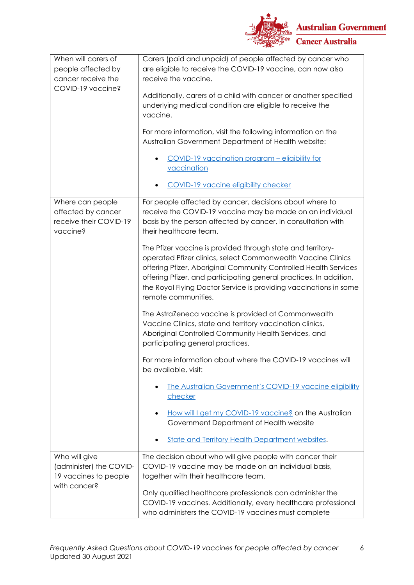

| When will carers of                                      | Carers (paid and unpaid) of people affected by cancer who                                                                                                                                                                                                                                                                                                         |
|----------------------------------------------------------|-------------------------------------------------------------------------------------------------------------------------------------------------------------------------------------------------------------------------------------------------------------------------------------------------------------------------------------------------------------------|
| people affected by                                       | are eligible to receive the COVID-19 vaccine, can now also                                                                                                                                                                                                                                                                                                        |
| cancer receive the                                       | receive the vaccine.                                                                                                                                                                                                                                                                                                                                              |
| COVID-19 vaccine?                                        |                                                                                                                                                                                                                                                                                                                                                                   |
|                                                          | Additionally, carers of a child with cancer or another specified<br>underlying medical condition are eligible to receive the<br>vaccine.                                                                                                                                                                                                                          |
|                                                          | For more information, visit the following information on the<br>Australian Government Department of Health website:                                                                                                                                                                                                                                               |
|                                                          | COVID-19 vaccination program - eligibility for                                                                                                                                                                                                                                                                                                                    |
|                                                          | vaccination                                                                                                                                                                                                                                                                                                                                                       |
|                                                          |                                                                                                                                                                                                                                                                                                                                                                   |
|                                                          | <b>COVID-19 vaccine eligibility checker</b>                                                                                                                                                                                                                                                                                                                       |
| Where can people                                         | For people affected by cancer, decisions about where to                                                                                                                                                                                                                                                                                                           |
| affected by cancer<br>receive their COVID-19<br>vaccine? | receive the COVID-19 vaccine may be made on an individual<br>basis by the person affected by cancer, in consultation with<br>their healthcare team.                                                                                                                                                                                                               |
|                                                          | The Pfizer vaccine is provided through state and territory-<br>operated Pfizer clinics, select Commonwealth Vaccine Clinics<br>offering Pfizer, Aboriginal Community Controlled Health Services<br>offering Pfizer, and participating general practices. In addition,<br>the Royal Flying Doctor Service is providing vaccinations in some<br>remote communities. |
|                                                          | The AstraZeneca vaccine is provided at Commonwealth<br>Vaccine Clinics, state and territory vaccination clinics,<br>Aboriginal Controlled Community Health Services, and<br>participating general practices.                                                                                                                                                      |
|                                                          | For more information about where the COVID-19 vaccines will<br>be available, visit:                                                                                                                                                                                                                                                                               |
|                                                          | <u>The Australian Government's COVID-19 vaccine eligibility</u><br>checker                                                                                                                                                                                                                                                                                        |
|                                                          | How will I get my COVID-19 vaccine? on the Australian<br>Government Department of Health website                                                                                                                                                                                                                                                                  |
|                                                          | <b>State and Territory Health Department websites.</b>                                                                                                                                                                                                                                                                                                            |
| Who will give                                            | The decision about who will give people with cancer their                                                                                                                                                                                                                                                                                                         |
| (administer) the COVID-                                  | COVID-19 vaccine may be made on an individual basis,                                                                                                                                                                                                                                                                                                              |
| 19 vaccines to people                                    | together with their healthcare team.                                                                                                                                                                                                                                                                                                                              |
| with cancer?                                             |                                                                                                                                                                                                                                                                                                                                                                   |
|                                                          | Only qualified healthcare professionals can administer the                                                                                                                                                                                                                                                                                                        |
|                                                          | COVID-19 vaccines. Additionally, every healthcare professional                                                                                                                                                                                                                                                                                                    |
|                                                          | who administers the COVID-19 vaccines must complete                                                                                                                                                                                                                                                                                                               |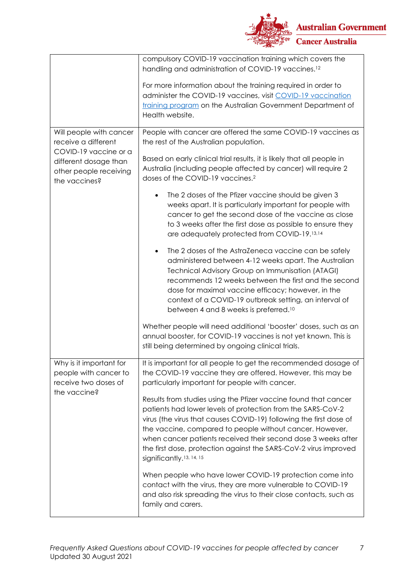

|                                                                                           | compulsory COVID-19 vaccination training which covers the<br>handling and administration of COVID-19 vaccines. <sup>12</sup>                                                                                                                                                                                                                                                                                                                  |
|-------------------------------------------------------------------------------------------|-----------------------------------------------------------------------------------------------------------------------------------------------------------------------------------------------------------------------------------------------------------------------------------------------------------------------------------------------------------------------------------------------------------------------------------------------|
|                                                                                           | For more information about the training required in order to<br>administer the COVID-19 vaccines, visit COVID-19 vaccination<br>training program on the Australian Government Department of<br>Health website.                                                                                                                                                                                                                                |
| Will people with cancer<br>receive a different                                            | People with cancer are offered the same COVID-19 vaccines as<br>the rest of the Australian population.                                                                                                                                                                                                                                                                                                                                        |
| COVID-19 vaccine or a<br>different dosage than<br>other people receiving<br>the vaccines? | Based on early clinical trial results, it is likely that all people in<br>Australia (including people affected by cancer) will require 2<br>doses of the COVID-19 vaccines. <sup>2</sup>                                                                                                                                                                                                                                                      |
|                                                                                           | The 2 doses of the Pfizer vaccine should be given 3<br>weeks apart. It is particularly important for people with<br>cancer to get the second dose of the vaccine as close<br>to 3 weeks after the first dose as possible to ensure they<br>are adequately protected from COVID-19.13,14                                                                                                                                                       |
|                                                                                           | The 2 doses of the AstraZeneca vaccine can be safely<br>$\bullet$<br>administered between 4-12 weeks apart. The Australian<br>Technical Advisory Group on Immunisation (ATAGI)<br>recommends 12 weeks between the first and the second<br>dose for maximal vaccine efficacy; however, in the<br>context of a COVID-19 outbreak setting, an interval of<br>between 4 and 8 weeks is preferred. <sup>10</sup>                                   |
|                                                                                           | Whether people will need additional 'booster' doses, such as an<br>annual booster, for COVID-19 vaccines is not yet known. This is<br>still being determined by ongoing clinical trials.                                                                                                                                                                                                                                                      |
| Why is it important for<br>people with cancer to<br>receive two doses of<br>the vaccine?  | It is important for all people to get the recommended dosage of<br>the COVID-19 vaccine they are offered. However, this may be<br>particularly important for people with cancer.                                                                                                                                                                                                                                                              |
|                                                                                           | Results from studies using the Pfizer vaccine found that cancer<br>patients had lower levels of protection from the SARS-CoV-2<br>virus (the virus that causes COVID-19) following the first dose of<br>the vaccine, compared to people without cancer. However,<br>when cancer patients received their second dose 3 weeks after<br>the first dose, protection against the SARS-CoV-2 virus improved<br>significantly. <sup>13, 14, 15</sup> |
|                                                                                           | When people who have lower COVID-19 protection come into<br>contact with the virus, they are more vulnerable to COVID-19<br>and also risk spreading the virus to their close contacts, such as<br>family and carers.                                                                                                                                                                                                                          |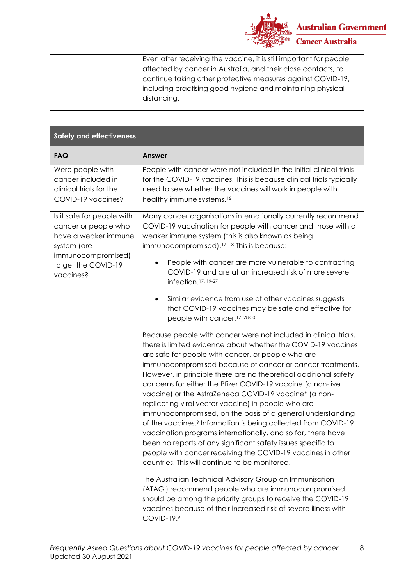

| Even after receiving the vaccine, it is still important for people |
|--------------------------------------------------------------------|
| affected by cancer in Australia, and their close contacts, to      |
| continue taking other protective measures against COVID-19,        |
| including practising good hygiene and maintaining physical         |
| distancing.                                                        |
|                                                                    |

| <b>Safety and effectiveness</b>                                                                                                        |                                                                                                                                                                                                                                                                                                                                                                                                                                                                                                                                                                                                                                                                                                                                                                                                                                                                                                      |
|----------------------------------------------------------------------------------------------------------------------------------------|------------------------------------------------------------------------------------------------------------------------------------------------------------------------------------------------------------------------------------------------------------------------------------------------------------------------------------------------------------------------------------------------------------------------------------------------------------------------------------------------------------------------------------------------------------------------------------------------------------------------------------------------------------------------------------------------------------------------------------------------------------------------------------------------------------------------------------------------------------------------------------------------------|
| <b>FAQ</b>                                                                                                                             | <b>Answer</b>                                                                                                                                                                                                                                                                                                                                                                                                                                                                                                                                                                                                                                                                                                                                                                                                                                                                                        |
| Were people with<br>cancer included in<br>clinical trials for the<br>COVID-19 vaccines?                                                | People with cancer were not included in the initial clinical trials<br>for the COVID-19 vaccines. This is because clinical trials typically<br>need to see whether the vaccines will work in people with<br>healthy immune systems. <sup>16</sup>                                                                                                                                                                                                                                                                                                                                                                                                                                                                                                                                                                                                                                                    |
| Is it safe for people with<br>cancer or people who<br>have a weaker immune<br>system (are<br>immunocompromised)<br>to get the COVID-19 | Many cancer organisations internationally currently recommend<br>COVID-19 vaccination for people with cancer and those with a<br>weaker immune system (this is also known as being<br>immunocompromised). <sup>17, 18</sup> This is because:<br>People with cancer are more vulnerable to contracting                                                                                                                                                                                                                                                                                                                                                                                                                                                                                                                                                                                                |
| vaccines?                                                                                                                              | COVID-19 and are at an increased risk of more severe<br>infection. <sup>17, 19-27</sup>                                                                                                                                                                                                                                                                                                                                                                                                                                                                                                                                                                                                                                                                                                                                                                                                              |
|                                                                                                                                        | Similar evidence from use of other vaccines suggests<br>$\bullet$<br>that COVID-19 vaccines may be safe and effective for<br>people with cancer. <sup>17, 28-30</sup>                                                                                                                                                                                                                                                                                                                                                                                                                                                                                                                                                                                                                                                                                                                                |
|                                                                                                                                        | Because people with cancer were not included in clinical trials,<br>there is limited evidence about whether the COVID-19 vaccines<br>are safe for people with cancer, or people who are<br>immunocompromised because of cancer or cancer treatments.<br>However, in principle there are no theoretical additional safety<br>concerns for either the Pfizer COVID-19 vaccine (a non-live<br>vaccine) or the AstraZeneca COVID-19 vaccine* (a non-<br>replicating viral vector vaccine) in people who are<br>immunocompromised, on the basis of a general understanding<br>of the vaccines. <sup>9</sup> Information is being collected from COVID-19<br>vaccination programs internationally, and so far, there have<br>been no reports of any significant safety issues specific to<br>people with cancer receiving the COVID-19 vaccines in other<br>countries. This will continue to be monitored. |
|                                                                                                                                        | The Australian Technical Advisory Group on Immunisation<br>(ATAGI) recommend people who are immunocompromised<br>should be among the priority groups to receive the COVID-19<br>vaccines because of their increased risk of severe illness with<br>COVID-19.9                                                                                                                                                                                                                                                                                                                                                                                                                                                                                                                                                                                                                                        |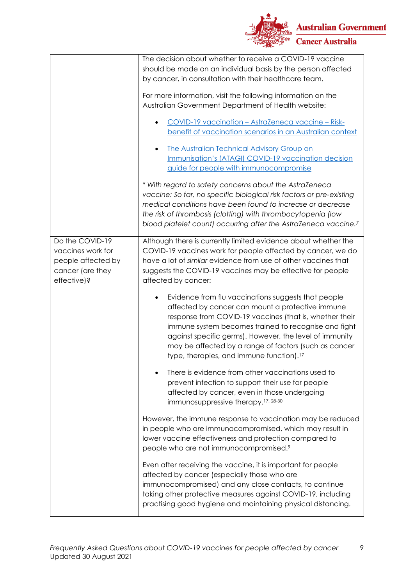

|                                                                                               | The decision about whether to receive a COVID-19 vaccine<br>should be made on an individual basis by the person affected                                                                                                                                                                                                                                                                               |
|-----------------------------------------------------------------------------------------------|--------------------------------------------------------------------------------------------------------------------------------------------------------------------------------------------------------------------------------------------------------------------------------------------------------------------------------------------------------------------------------------------------------|
|                                                                                               | by cancer, in consultation with their healthcare team.                                                                                                                                                                                                                                                                                                                                                 |
|                                                                                               | For more information, visit the following information on the<br>Australian Government Department of Health website:                                                                                                                                                                                                                                                                                    |
|                                                                                               | <u> COVID-19 vaccination - AstraZeneca vaccine - Risk-</u><br>benefit of vaccination scenarios in an Australian context                                                                                                                                                                                                                                                                                |
|                                                                                               | The Australian Technical Advisory Group on<br>Immunisation's (ATAGI) COVID-19 vaccination decision<br>guide for people with immunocompromise                                                                                                                                                                                                                                                           |
|                                                                                               | * With regard to safety concerns about the AstraZeneca<br>vaccine: So far, no specific biological risk factors or pre-existing<br>medical conditions have been found to increase or decrease<br>the risk of thrombosis (clotting) with thrombocytopenia (low<br>blood platelet count) occurring after the AstraZeneca vaccine. <sup>7</sup>                                                            |
| Do the COVID-19<br>vaccines work for<br>people affected by<br>cancer (are they<br>effective)? | Although there is currently limited evidence about whether the<br>COVID-19 vaccines work for people affected by cancer, we do<br>have a lot of similar evidence from use of other vaccines that<br>suggests the COVID-19 vaccines may be effective for people<br>affected by cancer:                                                                                                                   |
|                                                                                               | Evidence from flu vaccinations suggests that people<br>affected by cancer can mount a protective immune<br>response from COVID-19 vaccines (that is, whether their<br>immune system becomes trained to recognise and fight<br>against specific germs). However, the level of immunity<br>may be affected by a range of factors (such as cancer<br>type, therapies, and immune function). <sup>17</sup> |
|                                                                                               | There is evidence from other vaccinations used to<br>prevent infection to support their use for people<br>affected by cancer, even in those undergoing<br>immunosuppressive therapy. <sup>17, 28-30</sup>                                                                                                                                                                                              |
|                                                                                               | However, the immune response to vaccination may be reduced<br>in people who are immunocompromised, which may result in<br>lower vaccine effectiveness and protection compared to<br>people who are not immunocompromised.9                                                                                                                                                                             |
|                                                                                               | Even after receiving the vaccine, it is important for people<br>affected by cancer (especially those who are<br>immunocompromised) and any close contacts, to continue<br>taking other protective measures against COVID-19, including<br>practising good hygiene and maintaining physical distancing.                                                                                                 |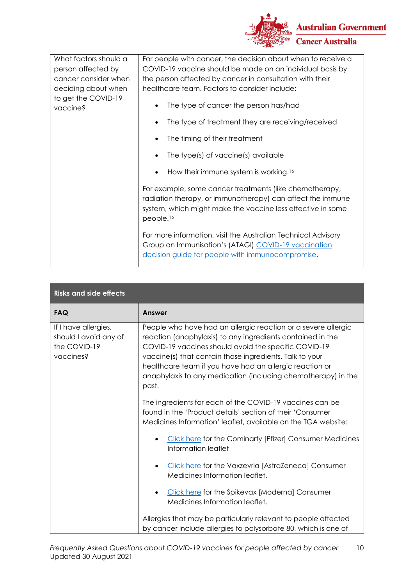

| What factors should a<br>person affected by<br>cancer consider when<br>deciding about when<br>to get the COVID-19<br>vaccine? | For people with cancer, the decision about when to receive a<br>COVID-19 vaccine should be made on an individual basis by<br>the person affected by cancer in consultation with their<br>healthcare team. Factors to consider include:<br>The type of cancer the person has/had |
|-------------------------------------------------------------------------------------------------------------------------------|---------------------------------------------------------------------------------------------------------------------------------------------------------------------------------------------------------------------------------------------------------------------------------|
|                                                                                                                               | The type of treatment they are receiving/received                                                                                                                                                                                                                               |
|                                                                                                                               | The timing of their treatment                                                                                                                                                                                                                                                   |
|                                                                                                                               | The type(s) of vaccine(s) available                                                                                                                                                                                                                                             |
|                                                                                                                               | How their immune system is working. <sup>16</sup><br>$\bullet$                                                                                                                                                                                                                  |
|                                                                                                                               | For example, some cancer treatments (like chemotherapy,<br>radiation therapy, or immunotherapy) can affect the immune<br>system, which might make the vaccine less effective in some<br>people. <sup>16</sup>                                                                   |
|                                                                                                                               | For more information, visit the Australian Technical Advisory<br>Group on Immunisation's (ATAGI) COVID-19 vaccination<br>decision guide for people with immunocompromise.                                                                                                       |

| <b>Risks and side effects</b>                                              |                                                                                                                                                                                                                                                                                                                                                                                     |  |
|----------------------------------------------------------------------------|-------------------------------------------------------------------------------------------------------------------------------------------------------------------------------------------------------------------------------------------------------------------------------------------------------------------------------------------------------------------------------------|--|
| <b>FAQ</b>                                                                 | <b>Answer</b>                                                                                                                                                                                                                                                                                                                                                                       |  |
| If I have allergies,<br>should I avoid any of<br>the COVID-19<br>vaccines? | People who have had an allergic reaction or a severe allergic<br>reaction (anaphylaxis) to any ingredients contained in the<br>COVID-19 vaccines should avoid the specific COVID-19<br>vaccine(s) that contain those ingredients. Talk to your<br>healthcare team if you have had an allergic reaction or<br>anaphylaxis to any medication (including chemotherapy) in the<br>past. |  |
|                                                                            | The ingredients for each of the COVID-19 vaccines can be<br>found in the 'Product details' section of their 'Consumer<br>Medicines Information' leaflet, available on the TGA website:                                                                                                                                                                                              |  |
|                                                                            | <b>Click here for the Cominarty [Pfizer] Consumer Medicines</b><br>$\bullet$<br>Information leaflet                                                                                                                                                                                                                                                                                 |  |
|                                                                            | Click here for the Vaxzevria [AstraZeneca] Consumer<br>$\bullet$<br>Medicines Information leaflet.                                                                                                                                                                                                                                                                                  |  |
|                                                                            | Click here for the Spikevax [Moderna] Consumer<br>$\bullet$<br>Medicines Information leaflet.                                                                                                                                                                                                                                                                                       |  |
|                                                                            | Allergies that may be particularly relevant to people affected<br>by cancer include allergies to polysorbate 80, which is one of                                                                                                                                                                                                                                                    |  |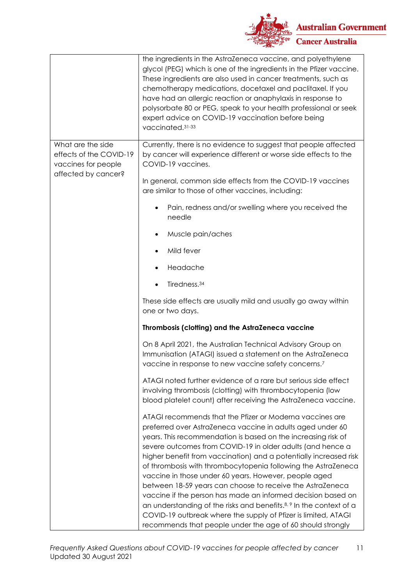

|                                                                                            | the ingredients in the AstraZeneca vaccine, and polyethylene<br>glycol (PEG) which is one of the ingredients in the Pfizer vaccine.<br>These ingredients are also used in cancer treatments, such as<br>chemotherapy medications, docetaxel and paclitaxel. If you<br>have had an allergic reaction or anaphylaxis in response to<br>polysorbate 80 or PEG, speak to your health professional or seek<br>expert advice on COVID-19 vaccination before being<br>vaccinated. 31-33                                                                                                                                                                                                                                                                                                                     |
|--------------------------------------------------------------------------------------------|------------------------------------------------------------------------------------------------------------------------------------------------------------------------------------------------------------------------------------------------------------------------------------------------------------------------------------------------------------------------------------------------------------------------------------------------------------------------------------------------------------------------------------------------------------------------------------------------------------------------------------------------------------------------------------------------------------------------------------------------------------------------------------------------------|
| What are the side<br>effects of the COVID-19<br>vaccines for people<br>affected by cancer? | Currently, there is no evidence to suggest that people affected<br>by cancer will experience different or worse side effects to the<br>COVID-19 vaccines.                                                                                                                                                                                                                                                                                                                                                                                                                                                                                                                                                                                                                                            |
|                                                                                            | In general, common side effects from the COVID-19 vaccines<br>are similar to those of other vaccines, including:                                                                                                                                                                                                                                                                                                                                                                                                                                                                                                                                                                                                                                                                                     |
|                                                                                            | Pain, redness and/or swelling where you received the<br>٠<br>needle                                                                                                                                                                                                                                                                                                                                                                                                                                                                                                                                                                                                                                                                                                                                  |
|                                                                                            | Muscle pain/aches                                                                                                                                                                                                                                                                                                                                                                                                                                                                                                                                                                                                                                                                                                                                                                                    |
|                                                                                            | Mild fever                                                                                                                                                                                                                                                                                                                                                                                                                                                                                                                                                                                                                                                                                                                                                                                           |
|                                                                                            | Headache                                                                                                                                                                                                                                                                                                                                                                                                                                                                                                                                                                                                                                                                                                                                                                                             |
|                                                                                            | Tiredness. <sup>34</sup>                                                                                                                                                                                                                                                                                                                                                                                                                                                                                                                                                                                                                                                                                                                                                                             |
|                                                                                            | These side effects are usually mild and usually go away within<br>one or two days.                                                                                                                                                                                                                                                                                                                                                                                                                                                                                                                                                                                                                                                                                                                   |
|                                                                                            | Thrombosis (clotting) and the AstraZeneca vaccine                                                                                                                                                                                                                                                                                                                                                                                                                                                                                                                                                                                                                                                                                                                                                    |
|                                                                                            | On 8 April 2021, the Australian Technical Advisory Group on<br>Immunisation (ATAGI) issued a statement on the AstraZeneca<br>vaccine in response to new vaccine safety concerns.7                                                                                                                                                                                                                                                                                                                                                                                                                                                                                                                                                                                                                    |
|                                                                                            | ATAGI noted further evidence of a rare but serious side effect<br>involving thrombosis (clotting) with thrombocytopenia (low<br>blood platelet count) after receiving the AstraZeneca vaccine.                                                                                                                                                                                                                                                                                                                                                                                                                                                                                                                                                                                                       |
|                                                                                            | ATAGI recommends that the Pfizer or Moderna vaccines are<br>preferred over AstraZeneca vaccine in adults aged under 60<br>years. This recommendation is based on the increasing risk of<br>severe outcomes from COVID-19 in older adults (and hence a<br>higher benefit from vaccination) and a potentially increased risk<br>of thrombosis with thrombocytopenia following the AstraZeneca<br>vaccine in those under 60 years. However, people aged<br>between 18-59 years can choose to receive the AstraZeneca<br>vaccine if the person has made an informed decision based on<br>an understanding of the risks and benefits. <sup>8, 9</sup> In the context of a<br>COVID-19 outbreak where the supply of Pfizer is limited, ATAGI<br>recommends that people under the age of 60 should strongly |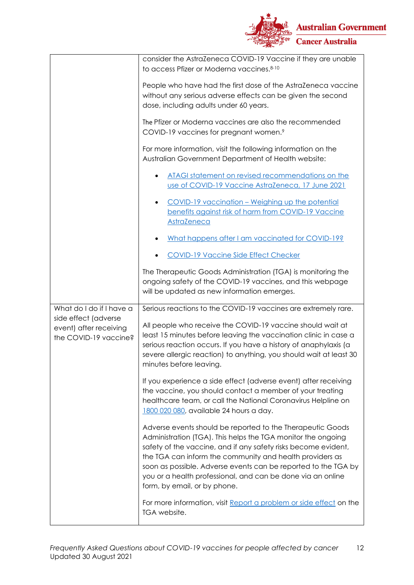

|                                                                         | consider the AstraZeneca COVID-19 Vaccine if they are unable<br>to access Pfizer or Moderna vaccines. 8-10                                                                                                                                                                                                                                                                                                                |
|-------------------------------------------------------------------------|---------------------------------------------------------------------------------------------------------------------------------------------------------------------------------------------------------------------------------------------------------------------------------------------------------------------------------------------------------------------------------------------------------------------------|
|                                                                         | People who have had the first dose of the AstraZeneca vaccine<br>without any serious adverse effects can be given the second<br>dose, including adults under 60 years.                                                                                                                                                                                                                                                    |
|                                                                         | The Pfizer or Moderna vaccines are also the recommended<br>COVID-19 vaccines for pregnant women.9                                                                                                                                                                                                                                                                                                                         |
|                                                                         | For more information, visit the following information on the<br>Australian Government Department of Health website:                                                                                                                                                                                                                                                                                                       |
|                                                                         | ATAGI statement on revised recommendations on the<br>use of COVID-19 Vaccine AstraZeneca, 17 June 2021                                                                                                                                                                                                                                                                                                                    |
|                                                                         | COVID-19 vaccination – Weighing up the potential<br>$\bullet$<br>benefits against risk of harm from COVID-19 Vaccine<br>AstraZeneca                                                                                                                                                                                                                                                                                       |
|                                                                         | What happens after I am vaccinated for COVID-19?                                                                                                                                                                                                                                                                                                                                                                          |
|                                                                         | <b>COVID-19 Vaccine Side Effect Checker</b>                                                                                                                                                                                                                                                                                                                                                                               |
|                                                                         | The Therapeutic Goods Administration (TGA) is monitoring the<br>ongoing safety of the COVID-19 vaccines, and this webpage<br>will be updated as new information emerges.                                                                                                                                                                                                                                                  |
| What do I do if I have a                                                | Serious reactions to the COVID-19 vaccines are extremely rare.                                                                                                                                                                                                                                                                                                                                                            |
| side effect (adverse<br>event) after receiving<br>the COVID-19 vaccine? | All people who receive the COVID-19 vaccine should wait at<br>least 15 minutes before leaving the vaccination clinic in case a<br>serious reaction occurs. If you have a history of anaphylaxis (a<br>severe allergic reaction) to anything, you should wait at least 30<br>minutes before leaving.                                                                                                                       |
|                                                                         | If you experience a side effect (adverse event) after receiving<br>the vaccine, you should contact a member of your treating<br>healthcare team, or call the National Coronavirus Helpline on<br>1800 020 080, available 24 hours a day.                                                                                                                                                                                  |
|                                                                         |                                                                                                                                                                                                                                                                                                                                                                                                                           |
|                                                                         | Adverse events should be reported to the Therapeutic Goods<br>Administration (TGA). This helps the TGA monitor the ongoing<br>safety of the vaccine, and if any safety risks become evident,<br>the TGA can inform the community and health providers as<br>soon as possible. Adverse events can be reported to the TGA by<br>you or a health professional, and can be done via an online<br>form, by email, or by phone. |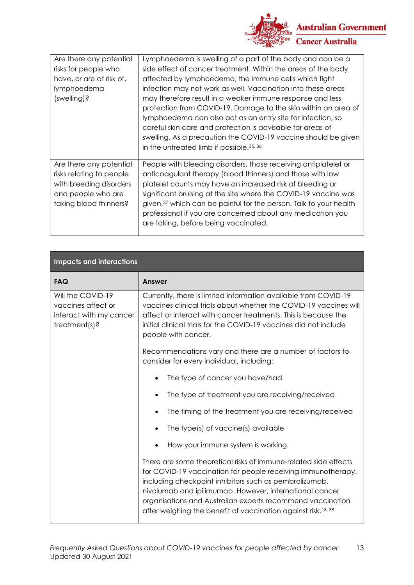

| Are there any potential<br>risks for people who<br>have, or are at risk of,<br>lymphoedema<br>(swelling)?                      | Lymphoedema is swelling of a part of the body and can be a<br>side effect of cancer treatment. Within the areas of the body<br>affected by lymphoedema, the immune cells which fight<br>infection may not work as well. Vaccination into these areas<br>may therefore result in a weaker immune response and less<br>protection from COVID-19. Damage to the skin within an area of<br>lymphoedema can also act as an entry site for infection, so<br>careful skin care and protection is advisable for areas of<br>swelling. As a precaution the COVID-19 vaccine should be given<br>in the untreated limb if possible. 35, 36 |
|--------------------------------------------------------------------------------------------------------------------------------|---------------------------------------------------------------------------------------------------------------------------------------------------------------------------------------------------------------------------------------------------------------------------------------------------------------------------------------------------------------------------------------------------------------------------------------------------------------------------------------------------------------------------------------------------------------------------------------------------------------------------------|
| Are there any potential<br>risks relating to people<br>with bleeding disorders<br>and people who are<br>taking blood thinners? | People with bleeding disorders, those receiving antiplatelet or<br>anticoagulant therapy (blood thinners) and those with low<br>platelet counts may have an increased risk of bleeding or<br>significant bruising at the site where the COVID-19 vaccine was<br>given, <sup>37</sup> which can be painful for the person. Talk to your health<br>professional if you are concerned about any medication you<br>are taking, before being vaccinated.                                                                                                                                                                             |

| <b>Impacts and interactions</b>                                                     |                                                                                                                                                                                                                                                                                                                                                                                                 |
|-------------------------------------------------------------------------------------|-------------------------------------------------------------------------------------------------------------------------------------------------------------------------------------------------------------------------------------------------------------------------------------------------------------------------------------------------------------------------------------------------|
| <b>FAQ</b>                                                                          | <b>Answer</b>                                                                                                                                                                                                                                                                                                                                                                                   |
| Will the COVID-19<br>vaccines affect or<br>interact with my cancer<br>treatment(s)? | Currently, there is limited information available from COVID-19<br>vaccines clinical trials about whether the COVID-19 vaccines will<br>affect or interact with cancer treatments. This is because the<br>initial clinical trials for the COVID-19 vaccines did not include<br>people with cancer.                                                                                              |
|                                                                                     | Recommendations vary and there are a number of factors to<br>consider for every individual, including:                                                                                                                                                                                                                                                                                          |
|                                                                                     | The type of cancer you have/had                                                                                                                                                                                                                                                                                                                                                                 |
|                                                                                     | The type of treatment you are receiving/received<br>$\bullet$                                                                                                                                                                                                                                                                                                                                   |
|                                                                                     | The timing of the treatment you are receiving/received<br>$\bullet$                                                                                                                                                                                                                                                                                                                             |
|                                                                                     | The type(s) of vaccine(s) available<br>$\bullet$                                                                                                                                                                                                                                                                                                                                                |
|                                                                                     | How your immune system is working.                                                                                                                                                                                                                                                                                                                                                              |
|                                                                                     | There are some theoretical risks of immune-related side effects<br>for COVID-19 vaccination for people receiving immunotherapy,<br>including checkpoint inhibitors such as pembrolizumab,<br>nivolumab and ipilimumab. However, international cancer<br>organisations and Australian experts recommend vaccination<br>after weighing the benefit of vaccination against risk. <sup>18, 38</sup> |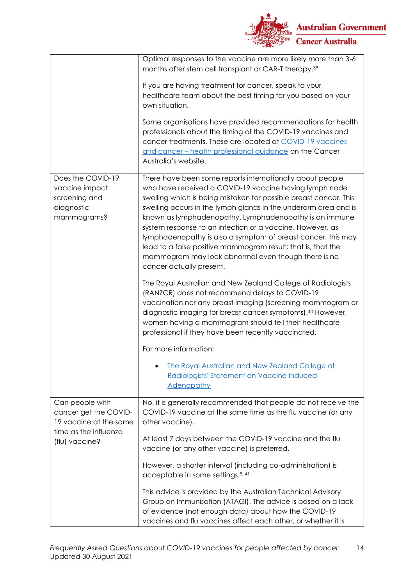

|                                                                                                               | Optimal responses to the vaccine are more likely more than 3-6<br>months after stem cell transplant or CAR-T therapy. <sup>39</sup><br>If you are having treatment for cancer, speak to your<br>healthcare team about the best timing for you based on your<br>own situation.<br>Some organisations have provided recommendations for health<br>professionals about the timing of the COVID-19 vaccines and<br>cancer treatments. These are located at COVID-19 vaccines<br>and cancer - health professional guidance on the Cancer<br>Australia's website.                                                                                                                                                                                                                                                                                                                                                                                                                     |
|---------------------------------------------------------------------------------------------------------------|---------------------------------------------------------------------------------------------------------------------------------------------------------------------------------------------------------------------------------------------------------------------------------------------------------------------------------------------------------------------------------------------------------------------------------------------------------------------------------------------------------------------------------------------------------------------------------------------------------------------------------------------------------------------------------------------------------------------------------------------------------------------------------------------------------------------------------------------------------------------------------------------------------------------------------------------------------------------------------|
| Does the COVID-19<br>vaccine impact<br>screening and<br>diagnostic<br>mammograms?                             | There have been some reports internationally about people<br>who have received a COVID-19 vaccine having lymph node<br>swelling which is being mistaken for possible breast cancer. This<br>swelling occurs in the lymph glands in the underarm area and is<br>known as lymphadenopathy. Lymphadenopathy is an immune<br>system response to an infection or a vaccine. However, as<br>lymphadenopathy is also a symptom of breast cancer, this may<br>lead to a false positive mammogram result; that is, that the<br>mammogram may look abnormal even though there is no<br>cancer actually present.<br>The Royal Australian and New Zealand College of Radiologists<br>(RANZCR) does not recommend delays to COVID-19<br>vaccination nor any breast imaging (screening mammogram or<br>diagnostic imaging for breast cancer symptoms). <sup>40</sup> However,<br>women having a mammogram should tell their healthcare<br>professional if they have been recently vaccinated. |
|                                                                                                               | For more information:<br>The Royal Australian and New Zealand College of<br>Radiologists' Statement on Vaccine Induced<br><b>Adenopathy</b>                                                                                                                                                                                                                                                                                                                                                                                                                                                                                                                                                                                                                                                                                                                                                                                                                                     |
| Can people with<br>cancer get the COVID-<br>19 vaccine at the same<br>time as the influenza<br>(flu) vaccine? | No, it is generally recommended that people do not receive the<br>COVID-19 vaccine at the same time as the flu vaccine (or any<br>other vaccine).<br>At least 7 days between the COVID-19 vaccine and the flu<br>vaccine (or any other vaccine) is preferred.<br>However, a shorter interval (including co-administration) is<br>acceptable in some settings. <sup>9, 41</sup><br>This advice is provided by the Australian Technical Advisory<br>Group on Immunisation (ATAGI). The advice is based on a lack<br>of evidence (not enough data) about how the COVID-19<br>vaccines and flu vaccines affect each other, or whether it is                                                                                                                                                                                                                                                                                                                                         |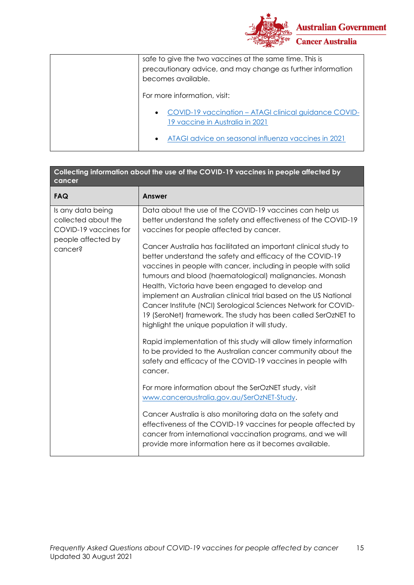

| safe to give the two vaccines at the same time. This is<br>precautionary advice, and may change as further information<br>becomes available. |
|----------------------------------------------------------------------------------------------------------------------------------------------|
| For more information, visit:                                                                                                                 |
| • COVID-19 vaccination - ATAGI clinical guidance COVID-<br>19 vaccine in Australia in 2021                                                   |
| ATAGI advice on seasonal influenza vaccines in 2021<br>$\bullet$                                                                             |

| Collecting information about the use of the COVID-19 vaccines in people affected by<br>cancer      |                                                                                                                                                                                                                                                                                                                                                                                                                                                                                                                                                                        |  |
|----------------------------------------------------------------------------------------------------|------------------------------------------------------------------------------------------------------------------------------------------------------------------------------------------------------------------------------------------------------------------------------------------------------------------------------------------------------------------------------------------------------------------------------------------------------------------------------------------------------------------------------------------------------------------------|--|
| <b>FAQ</b>                                                                                         | <b>Answer</b>                                                                                                                                                                                                                                                                                                                                                                                                                                                                                                                                                          |  |
| Is any data being<br>collected about the<br>COVID-19 vaccines for<br>people affected by<br>cancer? | Data about the use of the COVID-19 vaccines can help us<br>better understand the safety and effectiveness of the COVID-19<br>vaccines for people affected by cancer.                                                                                                                                                                                                                                                                                                                                                                                                   |  |
|                                                                                                    | Cancer Australia has facilitated an important clinical study to<br>better understand the safety and efficacy of the COVID-19<br>vaccines in people with cancer, including in people with solid<br>tumours and blood (haematological) malignancies. Monash<br>Health, Victoria have been engaged to develop and<br>implement an Australian clinical trial based on the US National<br>Cancer Institute (NCI) Serological Sciences Network for COVID-<br>19 (SeroNet) framework. The study has been called SerOzNET to<br>highlight the unique population it will study. |  |
|                                                                                                    | Rapid implementation of this study will allow timely information<br>to be provided to the Australian cancer community about the<br>safety and efficacy of the COVID-19 vaccines in people with<br>cancer.                                                                                                                                                                                                                                                                                                                                                              |  |
|                                                                                                    | For more information about the SerOzNET study, visit<br>www.canceraustralia.gov.au/SerOzNET-Study.                                                                                                                                                                                                                                                                                                                                                                                                                                                                     |  |
|                                                                                                    | Cancer Australia is also monitoring data on the safety and<br>effectiveness of the COVID-19 vaccines for people affected by<br>cancer from international vaccination programs, and we will<br>provide more information here as it becomes available.                                                                                                                                                                                                                                                                                                                   |  |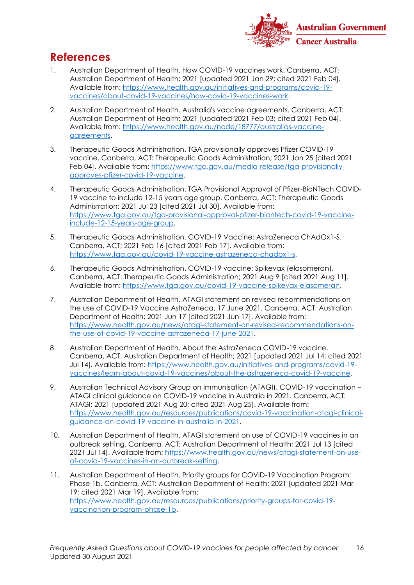

## **References**

- 1. Australian Department of Health. How COVID-19 vaccines work. Canberra, ACT: Australian Department of Health; 2021 [updated 2021 Jan 29; cited 2021 Feb 04]. Available from: [https://www.health.gov.au/initiatives-and-programs/covid-19](https://www.health.gov.au/initiatives-and-programs/covid-19-vaccines/about-covid-19-vaccines/how-covid-19-vaccines-work) [vaccines/about-covid-19-vaccines/how-covid-19-vaccines-work.](https://www.health.gov.au/initiatives-and-programs/covid-19-vaccines/about-covid-19-vaccines/how-covid-19-vaccines-work)
- 2. Australian Department of Health. Australia's vaccine agreements. Canberra, ACT: Australian Department of Health; 2021 [updated 2021 Feb 03; cited 2021 Feb 04]. Available from: [https://www.health.gov.au/node/18777/australias-vaccine](https://www.health.gov.au/node/18777/australias-vaccine-agreements)[agreements.](https://www.health.gov.au/node/18777/australias-vaccine-agreements)
- 3. Therapeutic Goods Administration. TGA provisionally approves Pfizer COVID-19 vaccine. Canberra, ACT: Therapeutic Goods Administration; 2021 Jan 25 [cited 2021 Feb 04]. Available from: [https://www.tga.gov.au/media-release/tga-provisionally](https://www.tga.gov.au/media-release/tga-provisionally-approves-pfizer-covid-19-vaccine)[approves-pfizer-covid-19-vaccine.](https://www.tga.gov.au/media-release/tga-provisionally-approves-pfizer-covid-19-vaccine)
- 4. Therapeutic Goods Administration. TGA Provisional Approval of Pfizer-BioNTech COVID-19 vaccine to include 12-15 years age group. Canberra, ACT: Therapeutic Goods Administration; 2021 Jul 23 [cited 2021 Jul 30]. Available from: [https://www.tga.gov.au/tga-provisional-approval-pfizer-biontech-covid-19-vaccine](https://www.tga.gov.au/tga-provisional-approval-pfizer-biontech-covid-19-vaccine-include-12-15-years-age-group)[include-12-15-years-age-group.](https://www.tga.gov.au/tga-provisional-approval-pfizer-biontech-covid-19-vaccine-include-12-15-years-age-group)
- 5. Therapeutic Goods Administration. COVID-19 Vaccine: AstraZeneca ChAdOx1-S. Canberra, ACT; 2021 Feb 16 [cited 2021 Feb 17]. Available from: [https://www.tga.gov.au/covid-19-vaccine-astrazeneca-chadox1-s.](https://www.tga.gov.au/covid-19-vaccine-astrazeneca-chadox1-s)
- 6. Therapeutic Goods Administration. COVID-19 vaccine: Spikevax (elasomeran). Canberra, ACT: Therapeutic Goods Administration; 2021 Aug 9 [cited 2021 Aug 11]. Available from: [https://www.tga.gov.au/covid-19-vaccine-spikevax-elasomeran.](https://www.tga.gov.au/covid-19-vaccine-spikevax-elasomeran)
- 7. Australian Department of Health. ATAGI statement on revised recommendations on the use of COVID-19 Vaccine AstraZeneca, 17 June 2021. Canberra, ACT: Australian Department of Health; 2021 Jun 17 [cited 2021 Jun 17]. Available from: [https://www.health.gov.au/news/atagi-statement-on-revised-recommendations-on](https://www.health.gov.au/news/atagi-statement-on-revised-recommendations-on-the-use-of-covid-19-vaccine-astrazeneca-17-june-2021)[the-use-of-covid-19-vaccine-astrazeneca-17-june-2021.](https://www.health.gov.au/news/atagi-statement-on-revised-recommendations-on-the-use-of-covid-19-vaccine-astrazeneca-17-june-2021)
- 8. Australian Department of Health. About the AstraZeneca COVID-19 vaccine. Canberra, ACT: Australian Department of Health; 2021 [updated 2021 Jul 14; cited 2021 Jul 14]. Available from: [https://www.health.gov.au/initiatives-and-programs/covid-19](https://www.health.gov.au/initiatives-and-programs/covid-19-vaccines/learn-about-covid-19-vaccines/about-the-astrazeneca-covid-19-vaccine) [vaccines/learn-about-covid-19-vaccines/about-the-astrazeneca-covid-19-vaccine.](https://www.health.gov.au/initiatives-and-programs/covid-19-vaccines/learn-about-covid-19-vaccines/about-the-astrazeneca-covid-19-vaccine)
- 9. Australian Technical Advisory Group on Immunisation (ATAGI). COVID-19 vaccination ATAGI clinical guidance on COVID-19 vaccine in Australia in 2021. Canberra, ACT: ATAGI; 2021 [updated 2021 Aug 20; cited 2021 Aug 25]. Available from: [https://www.health.gov.au/resources/publications/covid-19-vaccination-atagi-clinical](https://www.health.gov.au/resources/publications/covid-19-vaccination-atagi-clinical-guidance-on-covid-19-vaccine-in-australia-in-2021)[guidance-on-covid-19-vaccine-in-australia-in-2021.](https://www.health.gov.au/resources/publications/covid-19-vaccination-atagi-clinical-guidance-on-covid-19-vaccine-in-australia-in-2021)
- 10. Australian Department of Health. ATAGI statement on use of COVID-19 vaccines in an outbreak setting. Canberra, ACT: Australian Department of Health; 2021 Jul 13 [cited 2021 Jul 14]. Available from: [https://www.health.gov.au/news/atagi-statement-on-use](https://www.health.gov.au/news/atagi-statement-on-use-of-covid-19-vaccines-in-an-outbreak-setting)[of-covid-19-vaccines-in-an-outbreak-setting.](https://www.health.gov.au/news/atagi-statement-on-use-of-covid-19-vaccines-in-an-outbreak-setting)
- 11. Australian Department of Health. Priority groups for COVID-19 Vaccination Program: Phase 1b. Canberra, ACT: Australian Department of Health; 2021 [updated 2021 Mar 19; cited 2021 Mar 19]. Available from: [https://www.health.gov.au/resources/publications/priority-groups-for-covid-19](https://www.health.gov.au/resources/publications/priority-groups-for-covid-19-vaccination-program-phase-1b) [vaccination-program-phase-1b.](https://www.health.gov.au/resources/publications/priority-groups-for-covid-19-vaccination-program-phase-1b)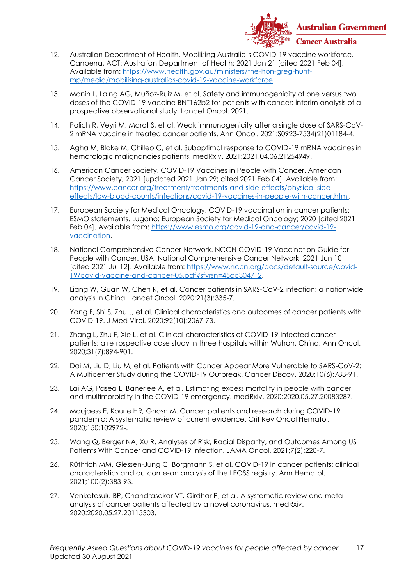

- 12. Australian Department of Health. Mobilising Australia's COVID-19 vaccine workforce. Canberra, ACT: Australian Department of Health; 2021 Jan 21 [cited 2021 Feb 04]. Available from: [https://www.health.gov.au/ministers/the-hon-greg-hunt](https://www.health.gov.au/ministers/the-hon-greg-hunt-mp/media/mobilising-australias-covid-19-vaccine-workforce)[mp/media/mobilising-australias-covid-19-vaccine-workforce.](https://www.health.gov.au/ministers/the-hon-greg-hunt-mp/media/mobilising-australias-covid-19-vaccine-workforce)
- 13. Monin L, Laing AG, Muñoz-Ruiz M, et al. Safety and immunogenicity of one versus two doses of the COVID-19 vaccine BNT162b2 for patients with cancer: interim analysis of a prospective observational study. Lancet Oncol. 2021.
- 14. Palich R, Veyri M, Marot S, et al. Weak immunogenicity after a single dose of SARS-CoV-2 mRNA vaccine in treated cancer patients. Ann Oncol. 2021:S0923-7534(21)01184-4.
- 15. Agha M, Blake M, Chilleo C, et al. Suboptimal response to COVID-19 mRNA vaccines in hematologic malignancies patients. medRxiv. 2021:2021.04.06.21254949.
- 16. American Cancer Society. COVID-19 Vaccines in People with Cancer. American Cancer Society; 2021 [updated 2021 Jan 29; cited 2021 Feb 04]. Available from: [https://www.cancer.org/treatment/treatments-and-side-effects/physical-side](https://www.cancer.org/treatment/treatments-and-side-effects/physical-side-effects/low-blood-counts/infections/covid-19-vaccines-in-people-with-cancer.html)[effects/low-blood-counts/infections/covid-19-vaccines-in-people-with-cancer.html.](https://www.cancer.org/treatment/treatments-and-side-effects/physical-side-effects/low-blood-counts/infections/covid-19-vaccines-in-people-with-cancer.html)
- 17. European Society for Medical Oncology. COVID-19 vaccination in cancer patients: ESMO statements. Lugano: European Society for Medical Oncology; 2020 [cited 2021 Feb 04]. Available from: [https://www.esmo.org/covid-19-and-cancer/covid-19](https://www.esmo.org/covid-19-and-cancer/covid-19-vaccination) [vaccination.](https://www.esmo.org/covid-19-and-cancer/covid-19-vaccination)
- 18. National Comprehensive Cancer Network. NCCN COVID-19 Vaccination Guide for People with Cancer. USA: National Comprehensive Cancer Network; 2021 Jun 10 [cited 2021 Jul 12]. Available from: [https://www.nccn.org/docs/default-source/covid-](https://www.nccn.org/docs/default-source/covid-19/covid-vaccine-and-cancer-05.pdf?sfvrsn=45cc3047_2)[19/covid-vaccine-and-cancer-05.pdf?sfvrsn=45cc3047\\_2.](https://www.nccn.org/docs/default-source/covid-19/covid-vaccine-and-cancer-05.pdf?sfvrsn=45cc3047_2)
- 19. Liang W, Guan W, Chen R, et al. Cancer patients in SARS-CoV-2 infection: a nationwide analysis in China. Lancet Oncol. 2020;21(3):335-7.
- 20. Yang F, Shi S, Zhu J, et al. Clinical characteristics and outcomes of cancer patients with COVID-19. J Med Virol. 2020;92(10):2067-73.
- 21. Zhang L, Zhu F, Xie L, et al. Clinical characteristics of COVID-19-infected cancer patients: a retrospective case study in three hospitals within Wuhan, China. Ann Oncol. 2020;31(7):894-901.
- 22. Dai M, Liu D, Liu M, et al. Patients with Cancer Appear More Vulnerable to SARS-CoV-2: A Multicenter Study during the COVID-19 Outbreak. Cancer Discov. 2020;10(6):783-91.
- 23. Lai AG, Pasea L, Banerjee A, et al. Estimating excess mortality in people with cancer and multimorbidity in the COVID-19 emergency. medRxiv. 2020:2020.05.27.20083287.
- 24. Moujaess E, Kourie HR, Ghosn M. Cancer patients and research during COVID-19 pandemic: A systematic review of current evidence. Crit Rev Oncol Hematol. 2020;150:102972-.
- 25. Wang Q, Berger NA, Xu R. Analyses of Risk, Racial Disparity, and Outcomes Among US Patients With Cancer and COVID-19 Infection. JAMA Oncol. 2021;7(2):220-7.
- 26. Rüthrich MM, Giessen-Jung C, Borgmann S, et al. COVID-19 in cancer patients: clinical characteristics and outcome-an analysis of the LEOSS registry. Ann Hematol. 2021;100(2):383-93.
- 27. Venkatesulu BP, Chandrasekar VT, Girdhar P, et al. A systematic review and metaanalysis of cancer patients affected by a novel coronavirus. medRxiv. 2020:2020.05.27.20115303.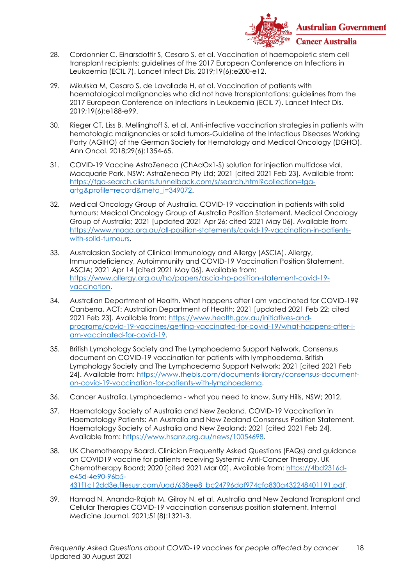

- 28. Cordonnier C, Einarsdottir S, Cesaro S, et al. Vaccination of haemopoietic stem cell transplant recipients: guidelines of the 2017 European Conference on Infections in Leukaemia (ECIL 7). Lancet Infect Dis. 2019;19(6):e200-e12.
- 29. Mikulska M, Cesaro S, de Lavallade H, et al. Vaccination of patients with haematological malignancies who did not have transplantations: guidelines from the 2017 European Conference on Infections in Leukaemia (ECIL 7). Lancet Infect Dis. 2019;19(6):e188-e99.
- 30. Rieger CT, Liss B, Mellinghoff S, et al. Anti-infective vaccination strategies in patients with hematologic malignancies or solid tumors-Guideline of the Infectious Diseases Working Party (AGIHO) of the German Society for Hematology and Medical Oncology (DGHO). Ann Oncol. 2018;29(6):1354-65.
- 31. COVID-19 Vaccine AstraZeneca (ChAdOx1-S) solution for injection multidose vial. Macquarie Park, NSW: AstraZeneca Pty Ltd; 2021 [cited 2021 Feb 23]. Available from: [https://tga-search.clients.funnelback.com/s/search.html?collection=tga](https://tga-search.clients.funnelback.com/s/search.html?collection=tga-artg&profile=record&meta_i=349072)[artg&profile=record&meta\\_i=349072.](https://tga-search.clients.funnelback.com/s/search.html?collection=tga-artg&profile=record&meta_i=349072)
- 32. Medical Oncology Group of Australia. COVID-19 vaccination in patients with solid tumours: Medical Oncology Group of Australia Position Statement. Medical Oncology Group of Australia; 2021 [updated 2021 Apr 26; cited 2021 May 06]. Available from: [https://www.moga.org.au/all-position-statements/covid-19-vaccination-in-patients](https://www.moga.org.au/all-position-statements/covid-19-vaccination-in-patients-with-solid-tumours)[with-solid-tumours.](https://www.moga.org.au/all-position-statements/covid-19-vaccination-in-patients-with-solid-tumours)
- 33. Australasian Society of Clinical Immunology and Allergy (ASCIA). Allergy, Immunodeficiency, Autoimmunity and COVID-19 Vaccination Position Statement. ASCIA; 2021 Apr 14 [cited 2021 May 06]. Available from: [https://www.allergy.org.au/hp/papers/ascia-hp-position-statement-covid-19](https://www.allergy.org.au/hp/papers/ascia-hp-position-statement-covid-19-vaccination) [vaccination.](https://www.allergy.org.au/hp/papers/ascia-hp-position-statement-covid-19-vaccination)
- 34. Australian Department of Health. What happens after I am vaccinated for COVID-19? Canberra, ACT: Australian Department of Health; 2021 [updated 2021 Feb 22; cited 2021 Feb 23]. Available from: [https://www.health.gov.au/initiatives-and](https://www.health.gov.au/initiatives-and-programs/covid-19-vaccines/getting-vaccinated-for-covid-19/what-happens-after-i-am-vaccinated-for-covid-19)[programs/covid-19-vaccines/getting-vaccinated-for-covid-19/what-happens-after-i](https://www.health.gov.au/initiatives-and-programs/covid-19-vaccines/getting-vaccinated-for-covid-19/what-happens-after-i-am-vaccinated-for-covid-19)[am-vaccinated-for-covid-19.](https://www.health.gov.au/initiatives-and-programs/covid-19-vaccines/getting-vaccinated-for-covid-19/what-happens-after-i-am-vaccinated-for-covid-19)
- 35. British Lymphology Society and The Lymphoedema Support Network. Consensus document on COVID-19 vaccination for patients with lymphoedema. British Lymphology Society and The Lymphoedema Support Network; 2021 [cited 2021 Feb 24]. Available from: [https://www.thebls.com/documents-library/consensus-document](https://www.thebls.com/documents-library/consensus-document-on-covid-19-vaccination-for-patients-with-lymphoedema)[on-covid-19-vaccination-for-patients-with-lymphoedema.](https://www.thebls.com/documents-library/consensus-document-on-covid-19-vaccination-for-patients-with-lymphoedema)
- 36. Cancer Australia. Lymphoedema what you need to know. Surry Hills, NSW; 2012.
- 37. Haematology Society of Australia and New Zealand. COVID-19 Vaccination in Haematology Patients: An Australia and New Zealand Consensus Position Statement. Haematology Society of Australia and New Zealand; 2021 [cited 2021 Feb 24]. Available from: [https://www.hsanz.org.au/news/10054698.](https://www.hsanz.org.au/news/10054698)
- 38. UK Chemotherapy Board. Clinician Frequently Asked Questions (FAQs) and guidance on COVID19 vaccine for patients receiving Systemic Anti-Cancer Therapy. UK Chemotherapy Board; 2020 [cited 2021 Mar 02]. Available from: [https://4bd2316d](https://4bd2316d-e45d-4e90-96b5-431f1c12dd3e.filesusr.com/ugd/638ee8_bc24796daf974cfa830a432248401191.pdf)[e45d-4e90-96b5-](https://4bd2316d-e45d-4e90-96b5-431f1c12dd3e.filesusr.com/ugd/638ee8_bc24796daf974cfa830a432248401191.pdf) [431f1c12dd3e.filesusr.com/ugd/638ee8\\_bc24796daf974cfa830a432248401191.pdf.](https://4bd2316d-e45d-4e90-96b5-431f1c12dd3e.filesusr.com/ugd/638ee8_bc24796daf974cfa830a432248401191.pdf)
- 39. Hamad N, Ananda-Rajah M, Gilroy N, et al. Australia and New Zealand Transplant and Cellular Therapies COVID-19 vaccination consensus position statement. Internal Medicine Journal. 2021;51(8):1321-3.